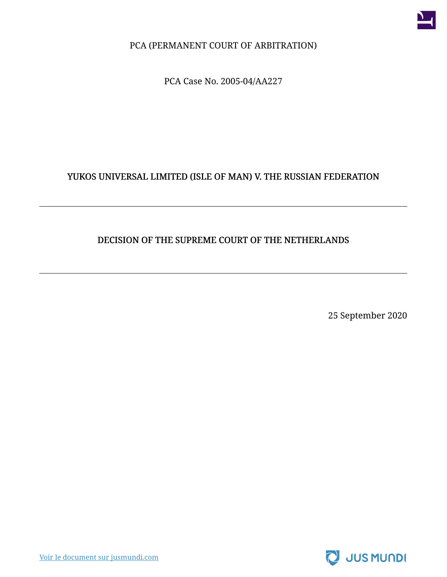

PCA (PERMANENT COURT OF ARBITRATION)

PCA Case No. 2005-04/AA227

#### YUKOS UNIVERSAL LIMITED (ISLE OF MAN) V. THE RUSSIAN FEDERATION

#### DECISION OF THE SUPREME COURT OF THE NETHERLANDS

25 September 2020

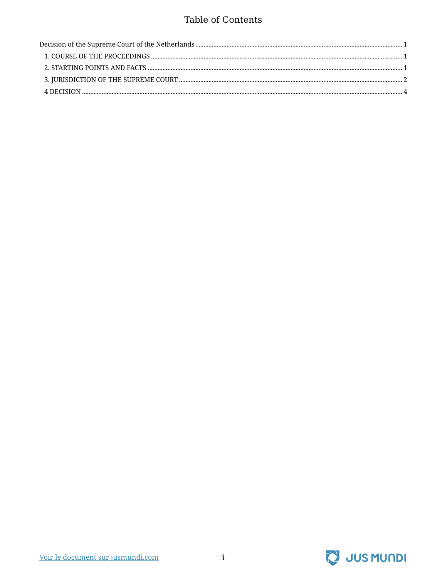#### **Table of Contents**

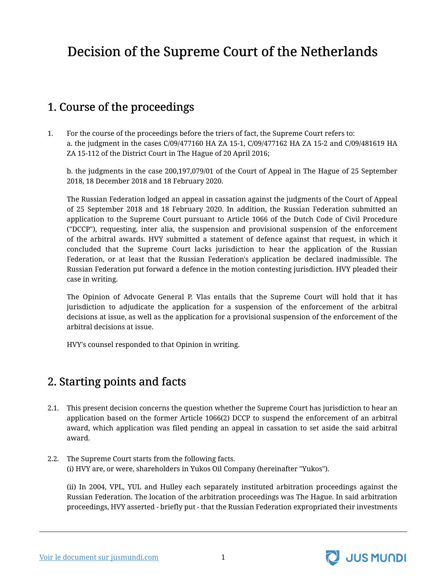# <span id="page-2-0"></span>Decision of the Supreme Court of the Netherlands

## <span id="page-2-1"></span>1. Course of the proceedings

1. For the course of the proceedings before the triers of fact, the Supreme Court refers to: a. the judgment in the cases C/09/477160 HA ZA 15-1, C/09/477162 HA ZA 15-2 and C/09/481619 HA ZA 15-112 of the District Court in The Hague of 20 April 2016;

b. the judgments in the case 200,197,079/01 of the Court of Appeal in The Hague of 25 September 2018, 18 December 2018 and 18 February 2020.

The Russian Federation lodged an appeal in cassation against the judgments of the Court of Appeal of 25 September 2018 and 18 February 2020. In addition, the Russian Federation submitted an application to the Supreme Court pursuant to Article 1066 of the Dutch Code of Civil Procedure ("DCCP"), requesting, inter alia, the suspension and provisional suspension of the enforcement of the arbitral awards. HVY submitted a statement of defence against that request, in which it concluded that the Supreme Court lacks jurisdiction to hear the application of the Russian Federation, or at least that the Russian Federation's application be declared inadmissible. The Russian Federation put forward a defence in the motion contesting jurisdiction. HVY pleaded their case in writing.

The Opinion of Advocate General P. Vlas entails that the Supreme Court will hold that it has jurisdiction to adjudicate the application for a suspension of the enforcement of the arbitral decisions at issue, as well as the application for a provisional suspension of the enforcement of the arbitral decisions at issue.

HVY's counsel responded to that Opinion in writing.

### <span id="page-2-2"></span>2. Starting points and facts

- 2.1. This present decision concerns the question whether the Supreme Court has jurisdiction to hear an application based on the former Article 1066(2) DCCP to suspend the enforcement of an arbitral award, which application was filed pending an appeal in cassation to set aside the said arbitral award.
- 2.2. The Supreme Court starts from the following facts. (i) HVY are, or were, shareholders in Yukos Oil Company (hereinafter "Yukos").

(ii) In 2004, VPL, YUL and Hulley each separately instituted arbitration proceedings against the Russian Federation. The location of the arbitration proceedings was The Hague. In said arbitration proceedings, HVY asserted - briefly put - that the Russian Federation expropriated their investments

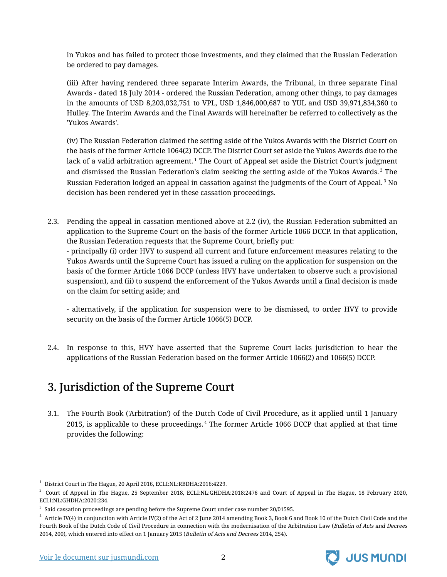in Yukos and has failed to protect those investments, and they claimed that the Russian Federation be ordered to pay damages.

(iii) After having rendered three separate Interim Awards, the Tribunal, in three separate Final Awards - dated 18 July 2014 - ordered the Russian Federation, among other things, to pay damages in the amounts of USD 8,203,032,751 to VPL, USD 1,846,000,687 to YUL and USD 39,971,834,360 to Hulley. The Interim Awards and the Final Awards will hereinafter be referred to collectively as the 'Yukos Awards'.

(iv) The Russian Federation claimed the setting aside of the Yukos Awards with the District Court on the basis of the former Article 1064(2) DCCP. The District Court set aside the Yukos Awards due to the lack of a valid arbitration agreement.<sup>1</sup> The Court of Appeal set aside the District Court's judgment and dismissed the Russian Federation's claim seeking the setting aside of the Yukos Awards.<sup>2</sup> The Russian Federation lodged an appeal in cassation against the judgments of the Court of Appeal.<sup>3</sup> No decision has been rendered yet in these cassation proceedings.

2.3. Pending the appeal in cassation mentioned above at 2.2 (iv), the Russian Federation submitted an application to the Supreme Court on the basis of the former Article 1066 DCCP. In that application, the Russian Federation requests that the Supreme Court, briefly put:

- principally (i) order HVY to suspend all current and future enforcement measures relating to the Yukos Awards until the Supreme Court has issued a ruling on the application for suspension on the basis of the former Article 1066 DCCP (unless HVY have undertaken to observe such a provisional suspension), and (ii) to suspend the enforcement of the Yukos Awards until a final decision is made on the claim for setting aside; and

- alternatively, if the application for suspension were to be dismissed, to order HVY to provide security on the basis of the former Article 1066(5) DCCP.

2.4. In response to this, HVY have asserted that the Supreme Court lacks jurisdiction to hear the applications of the Russian Federation based on the former Article 1066(2) and 1066(5) DCCP.

## <span id="page-3-0"></span>3. Jurisdiction of the Supreme Court

3.1. The Fourth Book ('Arbitration') of the Dutch Code of Civil Procedure, as it applied until 1 January 2015, is applicable to these proceedings. <sup>4</sup> The former Article 1066 DCCP that applied at that time provides the following:



<sup>1</sup> District Court in The Hague, 20 April 2016, ECLI:NL:RBDHA:2016:4229.

 $^2$  Court of Appeal in The Hague, 25 September 2018, ECLI:NL:GHDHA:2018:2476 and Court of Appeal in The Hague, 18 February 2020, ECLI:NL:GHDHA:2020:234.

 $^3\,$  Said cassation proceedings are pending before the Supreme Court under case number 20/01595.

 $^4\,$  Article IV(4) in conjunction with Article IV(2) of the Act of 2 June 2014 amending Book 3, Book 6 and Book 10 of the Dutch Civil Code and the Fourth Book of the Dutch Code of Civil Procedure in connection with the modernisation of the Arbitration Law (Bulletin of Acts and Decrees 2014, 200), which entered into effect on 1 January 2015 (Bulletin of Acts and Decrees 2014, 254).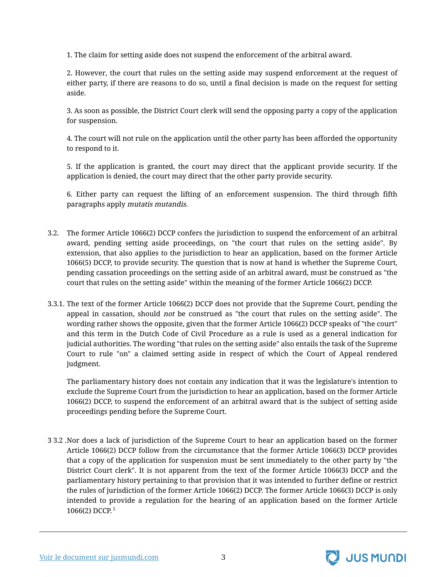1. The claim for setting aside does not suspend the enforcement of the arbitral award.

2. However, the court that rules on the setting aside may suspend enforcement at the request of either party, if there are reasons to do so, until a final decision is made on the request for setting aside.

3. As soon as possible, the District Court clerk will send the opposing party a copy of the application for suspension.

4. The court will not rule on the application until the other party has been afforded the opportunity to respond to it.

5. If the application is granted, the court may direct that the applicant provide security. If the application is denied, the court may direct that the other party provide security.

6. Either party can request the lifting of an enforcement suspension. The third through fifth paragraphs apply mutatis mutandis.

- 3.2. The former Article 1066(2) DCCP confers the jurisdiction to suspend the enforcement of an arbitral award, pending setting aside proceedings, on "the court that rules on the setting aside". By extension, that also applies to the jurisdiction to hear an application, based on the former Article 1066(5) DCCP, to provide security. The question that is now at hand is whether the Supreme Court, pending cassation proceedings on the setting aside of an arbitral award, must be construed as "the court that rules on the setting aside" within the meaning of the former Article 1066(2) DCCP.
- 3.3.1. The text of the former Article 1066(2) DCCP does not provide that the Supreme Court, pending the appeal in cassation, should not be construed as "the court that rules on the setting aside". The wording rather shows the opposite, given that the former Article 1066(2) DCCP speaks of "the court" and this term in the Dutch Code of Civil Procedure as a rule is used as a general indication for judicial authorities. The wording "that rules on the setting aside" also entails the task of the Supreme Court to rule "on" a claimed setting aside in respect of which the Court of Appeal rendered judgment.

The parliamentary history does not contain any indication that it was the legislature's intention to exclude the Supreme Court from the jurisdiction to hear an application, based on the former Article 1066(2) DCCP, to suspend the enforcement of an arbitral award that is the subject of setting aside proceedings pending before the Supreme Court.

3 3.2 . Nor does a lack of jurisdiction of the Supreme Court to hear an application based on the former Article 1066(2) DCCP follow from the circumstance that the former Article 1066(3) DCCP provides that a copy of the application for suspension must be sent immediately to the other party by "the District Court clerk". It is not apparent from the text of the former Article 1066(3) DCCP and the parliamentary history pertaining to that provision that it was intended to further define or restrict the rules of jurisdiction of the former Article 1066(2) DCCP. The former Article 1066(3) DCCP is only intended to provide a regulation for the hearing of an application based on the former Article 1066(2) DCCP. 5